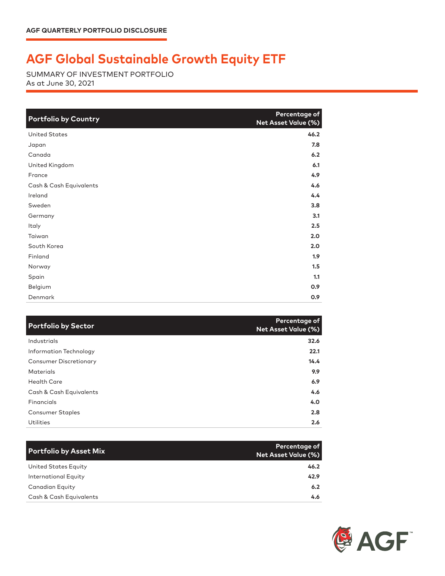## **AGF Global Sustainable Growth Equity ETF**

SUMMARY OF INVESTMENT PORTFOLIO As at June 30, 2021

| <b>Portfolio by Country</b> | Percentage of<br><b>Net Asset Value (%)</b> |
|-----------------------------|---------------------------------------------|
| <b>United States</b>        | 46.2                                        |
| Japan                       | 7.8                                         |
| Canada                      | 6.2                                         |
| United Kingdom              | 6.1                                         |
| France                      | 4.9                                         |
| Cash & Cash Equivalents     | 4.6                                         |
| Ireland                     | 4.4                                         |
| Sweden                      | 3.8                                         |
| Germany                     | 3.1                                         |
| Italy                       | 2.5                                         |
| Taiwan                      | 2.0                                         |
| South Korea                 | 2.0                                         |
| Finland                     | 1.9                                         |
| Norway                      | 1.5                                         |
| Spain                       | 1.1                                         |
| Belgium                     | 0.9                                         |
| Denmark                     | 0.9                                         |

| <b>Portfolio by Sector</b>    | Percentage of<br><b>Net Asset Value (%)</b> |
|-------------------------------|---------------------------------------------|
| Industrials                   | 32.6                                        |
| Information Technology        | 22.1                                        |
| <b>Consumer Discretionary</b> | 14.4                                        |
| <b>Materials</b>              | 9.9                                         |
| <b>Health Care</b>            | 6.9                                         |
| Cash & Cash Equivalents       | 4.6                                         |
| Financials                    | 4.0                                         |
| <b>Consumer Staples</b>       | 2.8                                         |
| Utilities                     | 2.6                                         |

| <b>Portfolio by Asset Mix</b> | Percentage of<br><b>Net Asset Value (%)</b> |
|-------------------------------|---------------------------------------------|
| United States Equity          | 46.2                                        |
| <b>International Equity</b>   | 42.9                                        |
| <b>Canadian Equity</b>        | 6.2                                         |
| Cash & Cash Equivalents       | 4.6                                         |